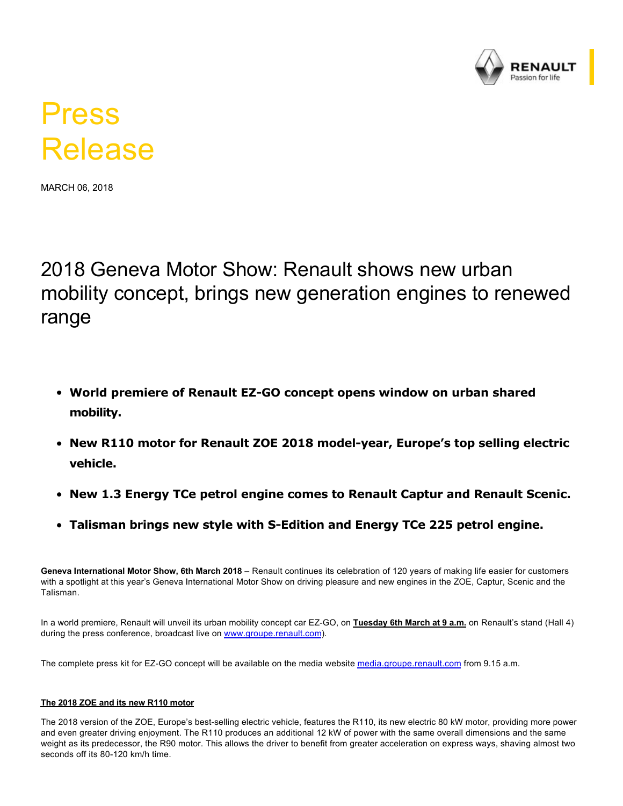

## Press Release

MARCH 06, 2018

2018 Geneva Motor Show: Renault shows new urban mobility concept, brings new generation engines to renewed range

- **World premiere of Renault EZGO concept opens window on urban shared mobility.**
- **New R110 motor for Renault ZOE 2018 modelyear, Europe's top selling electric vehicle.**
- **New 1.3 Energy TCe petrol engine comes to Renault Captur and Renault Scenic.**
- **Talisman brings new style with S-Edition and Energy TCe 225 petrol engine.**

**Geneva International Motor Show, 6th March 2018** – Renault continues its celebration of 120 years of making life easier for customers with a spotlight at this year's Geneva International Motor Show on driving pleasure and new engines in the ZOE, Captur, Scenic and the Talisman.

In a world premiere, Renault will unveil its urban mobility concept car EZ-GO, on Tuesday 6th March at 9 a.m. on Renault's stand (Hall 4) during the press conference, broadcast live on [www.groupe.renault.com](https://group.renault.com/en/)).

The complete press kit for EZ-GO concept will be available on the media website [media.groupe.renault.com](https://media.group.renault.com/global/en-gb) from 9.15 a.m.

## **The 2018 ZOE and its new R110 motor**

The 2018 version of the ZOE, Europe's best-selling electric vehicle, features the R110, its new electric 80 kW motor, providing more power and even greater driving enjoyment. The R110 produces an additional 12 kW of power with the same overall dimensions and the same weight as its predecessor, the R90 motor. This allows the driver to benefit from greater acceleration on express ways, shaving almost two seconds off its 80-120 km/h time.